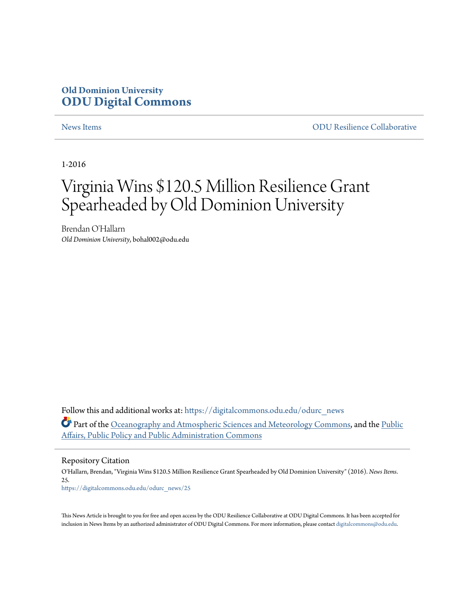### **Old Dominion University [ODU Digital Commons](https://digitalcommons.odu.edu?utm_source=digitalcommons.odu.edu%2Fodurc_news%2F25&utm_medium=PDF&utm_campaign=PDFCoverPages)**

[News Items](https://digitalcommons.odu.edu/odurc_news?utm_source=digitalcommons.odu.edu%2Fodurc_news%2F25&utm_medium=PDF&utm_campaign=PDFCoverPages) [ODU Resilience Collaborative](https://digitalcommons.odu.edu/odurc?utm_source=digitalcommons.odu.edu%2Fodurc_news%2F25&utm_medium=PDF&utm_campaign=PDFCoverPages)

1-2016

## Virginia Wins \$120.5 Million Resilience Grant Spearheaded by Old Dominion University

Brendan O'Hallarn *Old Dominion University*, bohal002@odu.edu

Follow this and additional works at: [https://digitalcommons.odu.edu/odurc\\_news](https://digitalcommons.odu.edu/odurc_news?utm_source=digitalcommons.odu.edu%2Fodurc_news%2F25&utm_medium=PDF&utm_campaign=PDFCoverPages) Part of the [Oceanography and Atmospheric Sciences and Meteorology Commons,](http://network.bepress.com/hgg/discipline/186?utm_source=digitalcommons.odu.edu%2Fodurc_news%2F25&utm_medium=PDF&utm_campaign=PDFCoverPages) and the [Public](http://network.bepress.com/hgg/discipline/393?utm_source=digitalcommons.odu.edu%2Fodurc_news%2F25&utm_medium=PDF&utm_campaign=PDFCoverPages) [Affairs, Public Policy and Public Administration Commons](http://network.bepress.com/hgg/discipline/393?utm_source=digitalcommons.odu.edu%2Fodurc_news%2F25&utm_medium=PDF&utm_campaign=PDFCoverPages)

Repository Citation

O'Hallarn, Brendan, "Virginia Wins \$120.5 Million Resilience Grant Spearheaded by Old Dominion University" (2016). *News Items*. 25. [https://digitalcommons.odu.edu/odurc\\_news/25](https://digitalcommons.odu.edu/odurc_news/25?utm_source=digitalcommons.odu.edu%2Fodurc_news%2F25&utm_medium=PDF&utm_campaign=PDFCoverPages)

This News Article is brought to you for free and open access by the ODU Resilience Collaborative at ODU Digital Commons. It has been accepted for inclusion in News Items by an authorized administrator of ODU Digital Commons. For more information, please contact [digitalcommons@odu.edu.](mailto:digitalcommons@odu.edu)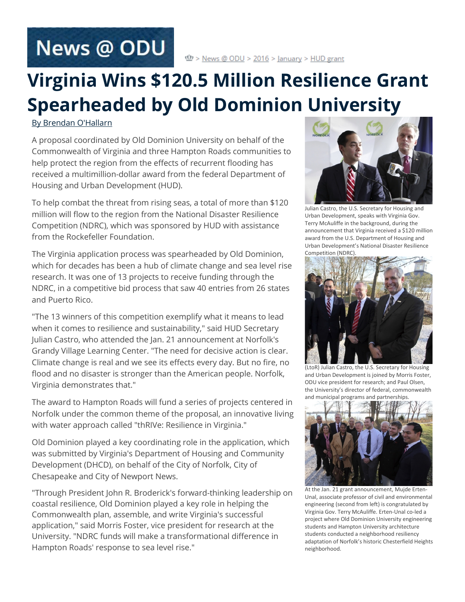# **News @ ODU**

## **Virginia Wins \$120.5 Million Resilience Grant Spearheaded by Old Dominion University**

#### [By Brendan O'Hallarn](mailto:bohallar@odu.edu)

A proposal coordinated by Old Dominion University on behalf of the Commonwealth of Virginia and three Hampton Roads communities to help protect the region from the effects of recurrent flooding has received a multimillion-dollar award from the federal Department of Housing and Urban Development (HUD).

To help combat the threat from rising seas, a total of more than \$120 million will flow to the region from the National Disaster Resilience Competition (NDRC), which was sponsored by HUD with assistance from the Rockefeller Foundation.

The Virginia application process was spearheaded by Old Dominion, which for decades has been a hub of climate change and sea level rise research. It was one of 13 projects to receive funding through the NDRC, in a competitive bid process that saw 40 entries from 26 states and Puerto Rico.

"The 13 winners of this competition exemplify what it means to lead when it comes to resilience and sustainability," said HUD Secretary Julian Castro, who attended the Jan. 21 announcement at Norfolk's Grandy Village Learning Center. "The need for decisive action is clear. Climate change is real and we see its effects every day. But no fire, no flood and no disaster is stronger than the American people. Norfolk, Virginia demonstrates that."

The award to Hampton Roads will fund a series of projects centered in Norfolk under the common theme of the proposal, an innovative living with water approach called "thRIVe: Resilience in Virginia."

Old Dominion played a key coordinating role in the application, which was submitted by Virginia's Department of Housing and Community Development (DHCD), on behalf of the City of Norfolk, City of Chesapeake and City of Newport News.

"Through President John R. Broderick's forward-thinking leadership on coastal resilience, Old Dominion played a key role in helping the Commonwealth plan, assemble, and write Virginia's successful application," said Morris Foster, vice president for research at the University. "NDRC funds will make a transformational difference in Hampton Roads' response to sea level rise."



Julian Castro, the U.S. Secretary for Housing and Urban Development, speaks with Virginia Gov. Terry McAuliffe in the background, during the announcement that Virginia received a \$120 million award from the U.S. Department of Housing and Urban Development's National Disaster Resilience Competition (NDRC).



(LtoR) Julian Castro, the U.S. Secretary for Housing and Urban Development is joined by Morris Foster, ODU vice president for research; and Paul Olsen, the University's director of federal, commonwealth and municipal programs and partnerships.



At the Jan. 21 grant announcement, Mujde Erten-Unal, associate professor of civil and environmental engineering (second from left) is congratulated by Virginia Gov. Terry McAuliffe. Erten-Unal co-led a project where Old Dominion University engineering students and Hampton University architecture students conducted a neighborhood resiliency adaptation of Norfolk's historic Chesterfield Heights neighborhood.